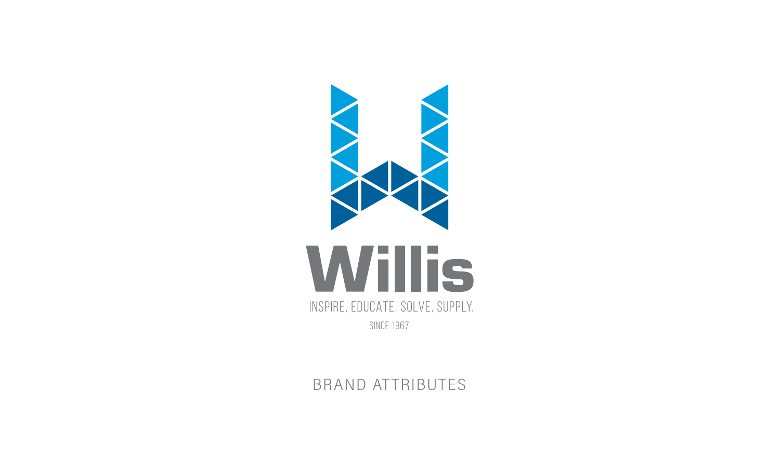

Inspire, EDUCATE, Solve, SUPPLY.

SINCE 1967

BRAND ATTRIBUTES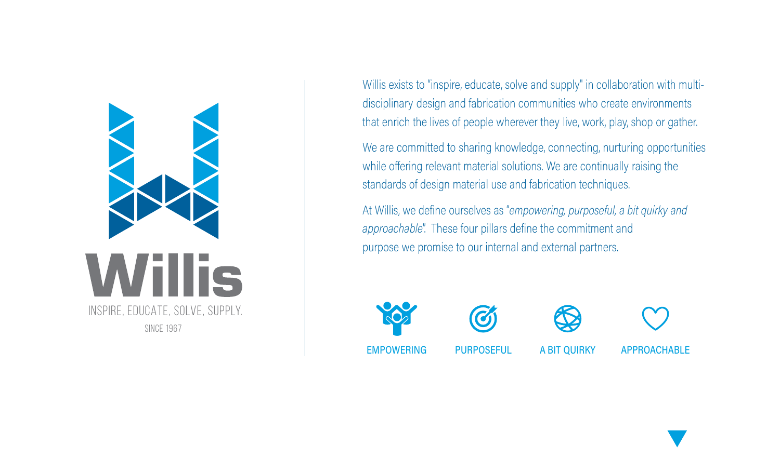

Willis exists to "inspire, educate, solve and supply" in collaboration with multidisciplinary design and fabrication communities who create environments that enrich the lives of people wherever they live, work, play, shop or gather.

We are committed to sharing knowledge, connecting, nurturing opportunities while offering relevant material solutions. We are continually raising the standards of design material use and fabrication techniques.

At Willis, we define ourselves as "empowering, purposeful, a bit quirky and *approachable"*. These four pillars define the commitment and purpose we promise to our internal and external partners.









**APPROACHABLE**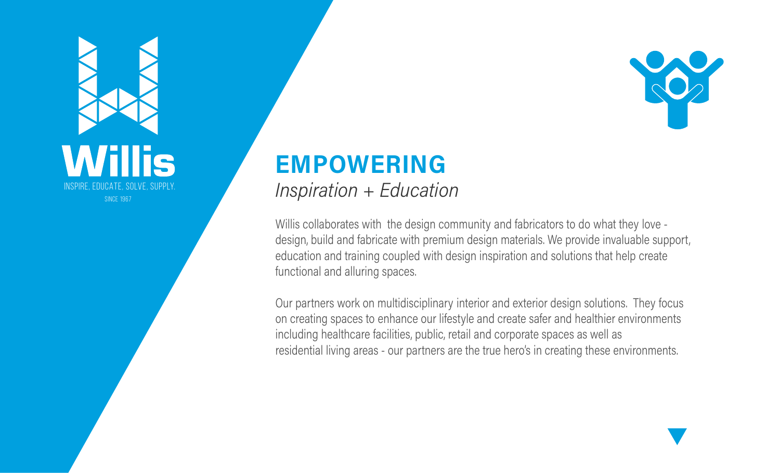

## **EMPOWERING** Inspiration + Education

Willis collaborates with the design community and fabricators to do what they love design, build and fabricate with premium design materials. We provide invaluable support, education and training coupled with design inspiration and solutions that help create functional and alluring spaces.

Our partners work on multidisciplinary interior and exterior design solutions. They focus on creating spaces to enhance our lifestyle and create safer and healthier environments including healthcare facilities, public, retail and corporate spaces as well as residential living areas - our partners are the true hero's in creating these environments.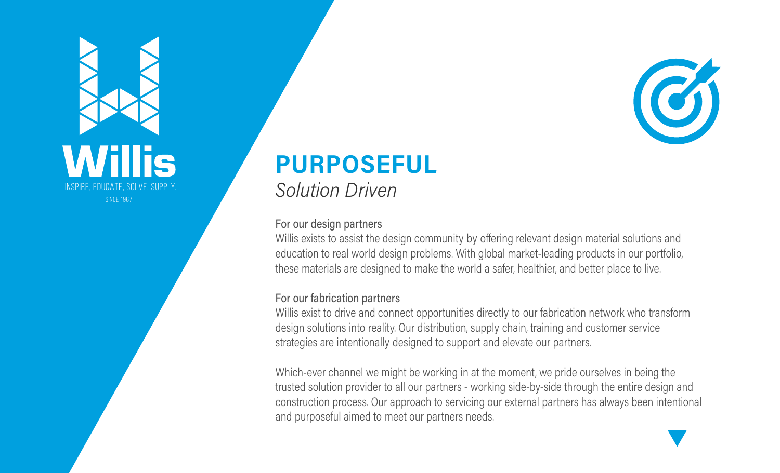

## **PURPOSEFUL Solution Driven**

### For our design partners

Willis exists to assist the design community by offering relevant design material solutions and education to real world design problems. With global market-leading products in our portfolio, these materials are designed to make the world a safer, healthier, and better place to live.

### For our fabrication partners

Willis exist to drive and connect opportunities directly to our fabrication network who transform \ design solutions into reality. Our distribution, supply chain, training and customer service strategies are intentionally designed to support and elevate our partners.

Which-ever channel we might be working in at the moment, we pride ourselves in being the trusted solution provider to all our partners - working side-by-side through the entire design and construction process. Our approach to servicing our external partners has always been intentional and purposeful aimed to meet our partners needs.

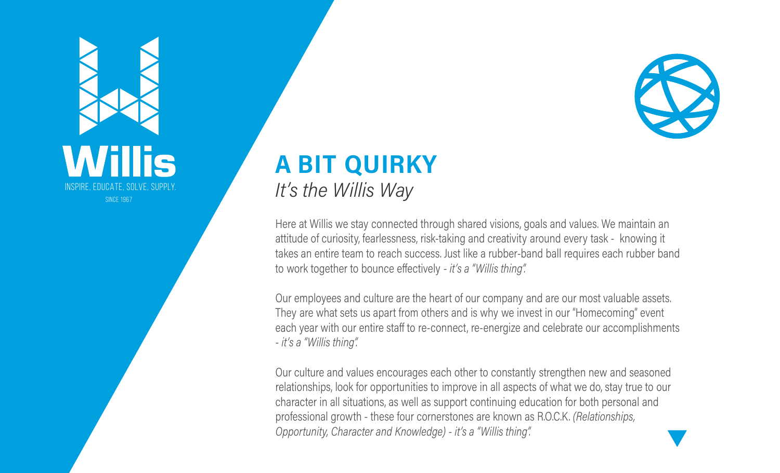

## **A BIT QUIRKY** It's the Willis Way

Here at Willis we stay connected through shared visions, goals and values. We maintain an attitude of curiosity, fearlessness, risk-taking and creativity around every task - knowing it takes an entire team to reach success. Just like a rubber-band ball requires each rubber band to work together to bounce effectively - *it's a "Willis thing".* 

Our employees and culture are the heart of our company and are our most valuable assets. They are what sets us apart from others and is why we invest in our "Homecoming" event each year with our entire staff to re-connect, re-energize and celebrate our accomplishments - it's a "Willis thing".

Our culture and values encourages each other to constantly strengthen new and seasoned relationships, look for opportunities to improve in all aspects of what we do, stay true to our character in all situations, as well as support continuing education for both personal and professional growth - these four cornerstones are known as R.O.C.K. (*Relationships*, Opportunity, Character and Knowledge) - it's a "Willis thing".